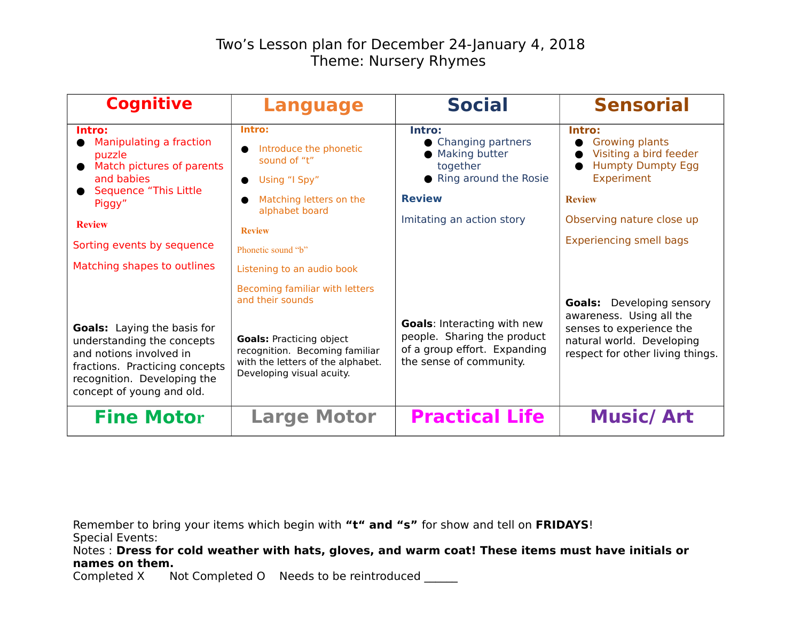| <b>Cognitive</b>                                                                                                                                                                          | <b>Language</b>                                                                                                                     | <b>Social</b>                                                                                                                | <b>Sensorial</b>                                                                                    |
|-------------------------------------------------------------------------------------------------------------------------------------------------------------------------------------------|-------------------------------------------------------------------------------------------------------------------------------------|------------------------------------------------------------------------------------------------------------------------------|-----------------------------------------------------------------------------------------------------|
| Intro:<br>Manipulating a fraction<br>puzzle<br>Match pictures of parents<br>and babies                                                                                                    | Intro:<br>Introduce the phonetic<br>sound of "t"<br>Using "I Spy"                                                                   | Intro:<br>• Changing partners<br>• Making butter<br>together<br>● Ring around the Rosie                                      | Intro:<br><b>Growing plants</b><br>Visiting a bird feeder<br><b>Humpty Dumpty Egg</b><br>Experiment |
| <b>Sequence "This Little</b><br>Piggy"                                                                                                                                                    | Matching letters on the<br>alphabet board                                                                                           | <b>Review</b>                                                                                                                | <b>Review</b>                                                                                       |
| <b>Review</b>                                                                                                                                                                             | <b>Review</b>                                                                                                                       | Imitating an action story                                                                                                    | Observing nature close up<br><b>Experiencing smell bags</b>                                         |
| Sorting events by sequence                                                                                                                                                                | Phonetic sound "b"                                                                                                                  |                                                                                                                              |                                                                                                     |
| Matching shapes to outlines                                                                                                                                                               | Listening to an audio book                                                                                                          |                                                                                                                              |                                                                                                     |
|                                                                                                                                                                                           | Becoming familiar with letters<br>and their sounds                                                                                  |                                                                                                                              | <b>Goals:</b> Developing sensory<br>awareness. Using all the                                        |
| <b>Goals:</b> Laying the basis for<br>understanding the concepts<br>and notions involved in<br>fractions. Practicing concepts<br>recognition. Developing the<br>concept of young and old. | <b>Goals: Practicing object</b><br>recognition. Becoming familiar<br>with the letters of the alphabet.<br>Developing visual acuity. | <b>Goals: Interacting with new</b><br>people. Sharing the product<br>of a group effort. Expanding<br>the sense of community. | senses to experience the<br>natural world. Developing<br>respect for other living things.           |
| <b>Fine Motor</b>                                                                                                                                                                         | <b>Large Motor</b>                                                                                                                  | <b>Practical Life</b>                                                                                                        | <b>Music/Art</b>                                                                                    |

Remember to bring your items which begin with **"t" and "s"** for show and tell on **FRIDAYS**! Special Events:

Notes : **Dress for cold weather with hats, gloves, and warm coat! These items must have initials or names on them.**

Completed X Not Completed O Needs to be reintroduced